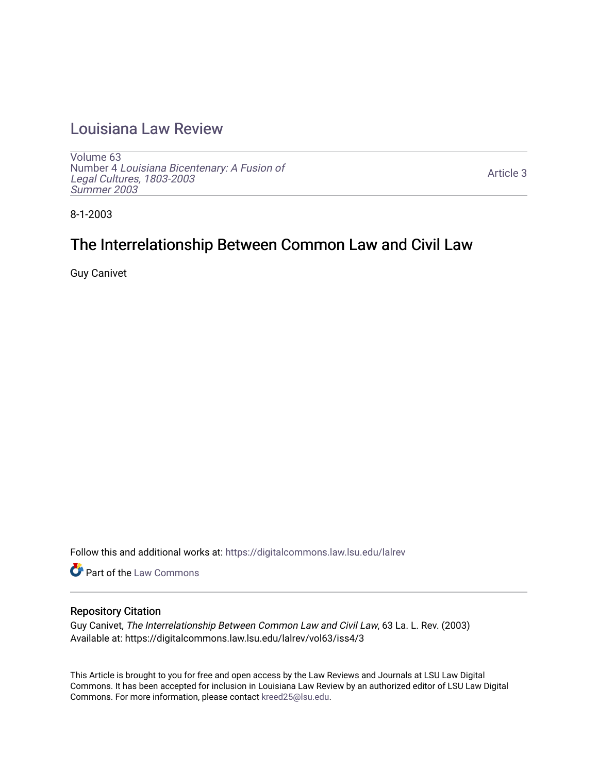## [Louisiana Law Review](https://digitalcommons.law.lsu.edu/lalrev)

[Volume 63](https://digitalcommons.law.lsu.edu/lalrev/vol63) Number 4 [Louisiana Bicentenary: A Fusion of](https://digitalcommons.law.lsu.edu/lalrev/vol63/iss4) [Legal Cultures, 1803-2003](https://digitalcommons.law.lsu.edu/lalrev/vol63/iss4) [Summer 2003](https://digitalcommons.law.lsu.edu/lalrev/vol63/iss4) 

[Article 3](https://digitalcommons.law.lsu.edu/lalrev/vol63/iss4/3) 

8-1-2003

# The Interrelationship Between Common Law and Civil Law

Guy Canivet

Follow this and additional works at: [https://digitalcommons.law.lsu.edu/lalrev](https://digitalcommons.law.lsu.edu/lalrev?utm_source=digitalcommons.law.lsu.edu%2Flalrev%2Fvol63%2Fiss4%2F3&utm_medium=PDF&utm_campaign=PDFCoverPages)

Part of the [Law Commons](https://network.bepress.com/hgg/discipline/578?utm_source=digitalcommons.law.lsu.edu%2Flalrev%2Fvol63%2Fiss4%2F3&utm_medium=PDF&utm_campaign=PDFCoverPages)

#### Repository Citation

Guy Canivet, The Interrelationship Between Common Law and Civil Law, 63 La. L. Rev. (2003) Available at: https://digitalcommons.law.lsu.edu/lalrev/vol63/iss4/3

This Article is brought to you for free and open access by the Law Reviews and Journals at LSU Law Digital Commons. It has been accepted for inclusion in Louisiana Law Review by an authorized editor of LSU Law Digital Commons. For more information, please contact [kreed25@lsu.edu](mailto:kreed25@lsu.edu).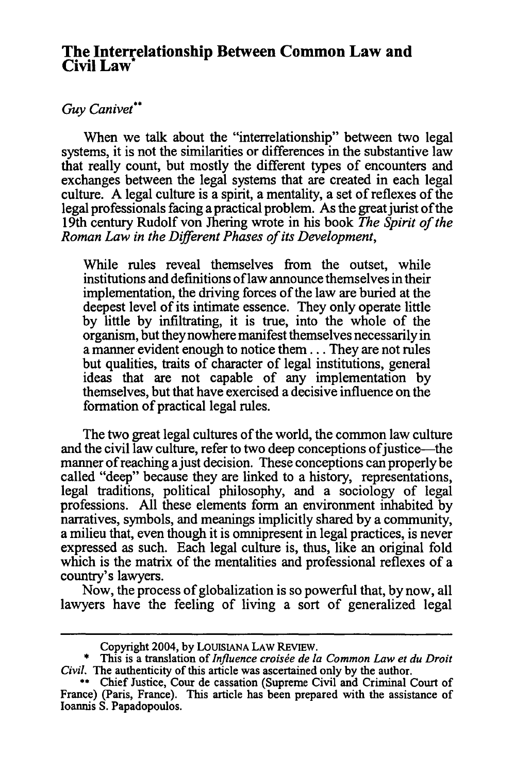### **The Interrelationship Between Common Law and Civil Law**

### *Guy Canivet"*

When we talk about the "interrelationship" between two legal systems, it is not the similarities or differences in the substantive law that really count, but mostly the different types of encounters and exchanges between the legal systems that are created in each legal culture. A legal culture is a spirit, a mentality, a set of reflexes of the legal professionals facing a practical problem. As the great jurist of the 19th century Rudolf von Jhering wrote in his book *The Spirit of the Roman Law in the Different Phases of its Development,* 

While rules reveal themselves from the outset, while institutions and definitions oflaw announce themselves in their implementation, the driving forces of the law are buried at the deepest level of its intimate essence. They only operate little by little by infiltrating, it is true, into the whole of the organism, but they nowhere manifest themselves necessarily in a manner evident enough to notice them... They are not rules but qualities, traits of character of legal institutions, general ideas that are not capable of any implementation by themselves, but that have exercised a decisive influence on the formation of practical legal rules.

The two great legal cultures of the world, the common law culture and the civil law culture, refer to two deep conceptions of justice—the manner ofreaching ajust decision. These conceptions can properly be called "deep" because they are linked to a history, representations, legal traditions, political philosophy, and a sociology of legal professions. All these elements form an environment inhabited by narratives, symbols, and meanings implicitly shared by a community, a milieu that, even though it is omnipresent in legal practices, is never expressed as such. Each legal culture is, thus, like an original fold which is the matrix of the mentalities and professional reflexes of a country's lawyers.

Now, the process of globalization is so powerful that, by now, all lawyers have the feeling of living a sort of generalized legal

Copyright 2004, by LOUISIANA LAW REVIEW.

<sup>\*</sup> This is a translation of *Influence croisée de la Common Law et du Droit Civil.* The authenticity of this article was ascertained only by the author.

**<sup>\*\*</sup>** Chief Justice, Cour de cassation (Supreme Civil and Criminal Court of France) (Paris, France). This article has been prepared with the assistance of Ioannis S. Papadopoulos.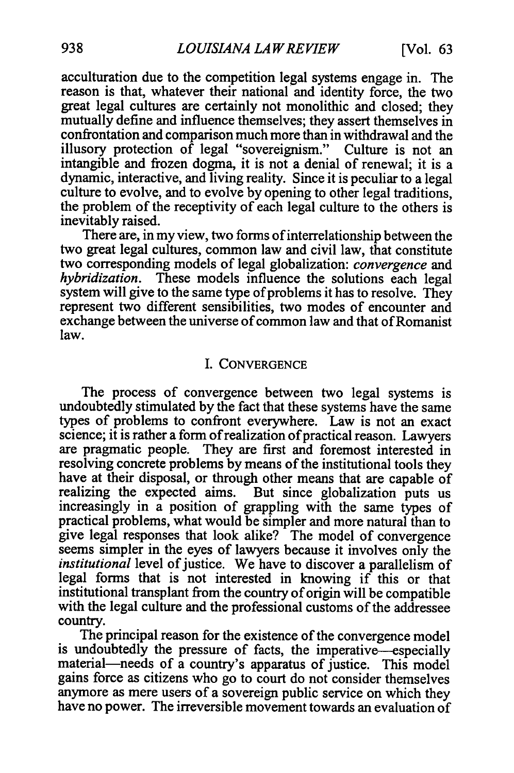acculturation due to the competition legal systems engage in. The reason is that, whatever their national and identity force, the two great legal cultures are certainly not monolithic and closed; they mutually define and influence themselves; they assert themselves in confrontation and comparison much more than in withdrawal and the illusory protection of legal "sovereignism." Culture is not an intangible and frozen dogma, it is not a denial of renewal; it is a dynamic, interactive, and living reality. Since it is peculiar to a legal culture to evolve, and to evolve by opening to other legal traditions, the problem of the receptivity of each legal culture to the others is inevitably raised.

There are, in my view, two forms of interrelationship between the two great legal cultures, common law and civil law, that constitute two corresponding models of legal globalization: *convergence and hybridization.* These models influence the solutions each legal system will give to the same type of problems it has to resolve. They represent two different sensibilities, two modes of encounter and exchange between the universe of common law and that of Romanist law.

#### I. CONVERGENCE

The process of convergence between two legal systems is undoubtedly stimulated by the fact that these systems have the same types of problems to confront everywhere. Law is not an exact science; it is rather a form of realization of practical reason. Lawyers are pragmatic people. They are first and foremost interested in resolving concrete problems by means of the institutional tools they have at their disposal, or through other means that are capable of realizing the expected aims. But since globalization puts us increasingly in a position of grappling with the same types of practical problems, what would be simpler and more natural than to give legal responses that look alike? The model of convergence seems simpler in the eyes of lawyers because it involves only the *institutional* level of justice. We have to discover a parallelism of legal forms that is not interested in knowing if this or that institutional transplant from the country of origin will be compatible with the legal culture and the professional customs of the addressee country.

The principal reason for the existence of the convergence model is undoubtedly the pressure of facts, the imperative-especially material-needs of a country's apparatus of justice. This model gains force as citizens who go to court do not consider themselves anymore as mere users of a sovereign public service on which they have no power. The irreversible movement towards an evaluation of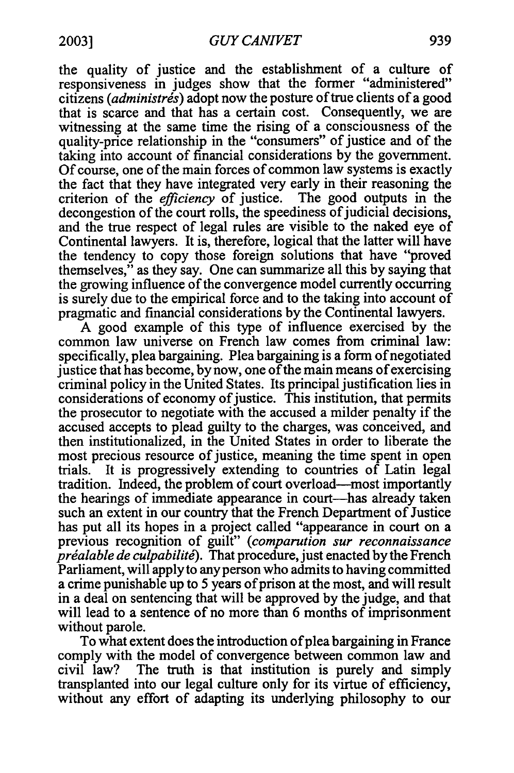the quality of justice and the establishment of a culture of responsiveness in judges show that the former "administered" citizens (administrés) adopt now the posture of true clients of a good that is scarce and that has a certain cost. Consequently, we are witnessing at the same time the rising of a consciousness of the quality-price relationship in the "consumers" of justice and of the taking into account of financial considerations by the government. Of course, one of the main forces of common law systems is exactly the fact that they have integrated very early in their reasoning the criterion of the *efficiency* of justice. The good outputs in the decongestion of the court rolls, the speediness of judicial decisions, and the true respect of legal rules are visible to the naked eye of Continental lawyers. It is, therefore, logical that the latter will have the tendency to copy those foreign solutions that have "proved themselves," as they say. One can summarize all this by saying that the growing influence of the convergence model currently occurring is surely due to the empirical force and to the taking into account of pragmatic and financial considerations by the Continental lawyers.

A good example of this type of influence exercised by the common law universe on French law comes from criminal law: specifically, plea bargaining. Plea bargaining is a form of negotiated justice that has become, by now, one of the main means of exercising criminal policy in the United States. Its principal justification lies in considerations of economy of justice. This institution, that permits the prosecutor to negotiate with the accused a milder penalty if the accused accepts to plead guilty to the charges, was conceived, and then institutionalized, in the United States in order to liberate the most precious resource of justice, meaning the time spent in open trials. It is progressively extending to countries of Latin legal tradition. Indeed, the problem of court overload-most importantly the hearings of immediate appearance in court-has already taken such an extent in our country that the French Department of Justice has put all its hopes in a project called "appearance in court on a previous recognition of guilt" *(comparution sur reconnaissance préalable de culpabilité*). That procedure, just enacted by the French Parliament, will apply to any person who admits to having committed a crime punishable up to 5 years of prison at the most, and will result in a deal on sentencing that will be approved by the judge, and that will lead to a sentence of no more than 6 months of imprisonment without parole.

To what extent does the introduction of plea bargaining in France comply with the model of convergence between common law and civil law? The truth is that institution is purely and simply transplanted into our legal culture only for its virtue of efficiency, without any effort of adapting its underlying philosophy to our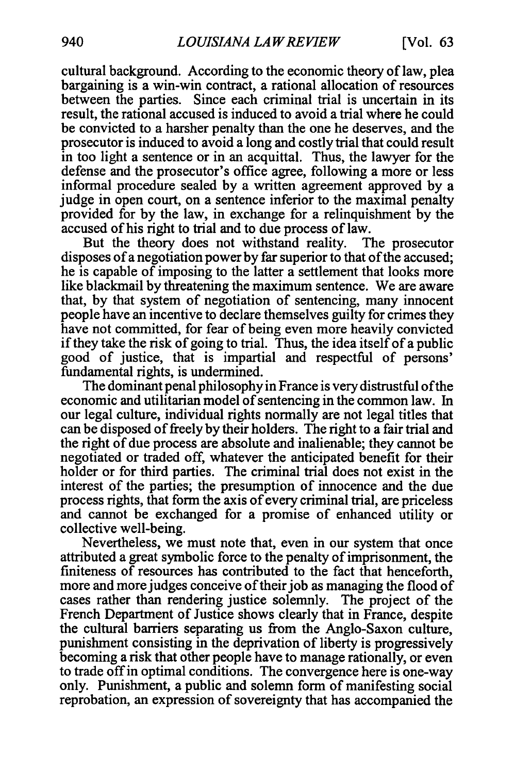cultural background. According to the economic theory of law, plea bargaining is a win-win contract, a rational allocation of resources between the parties. Since each criminal trial is uncertain in its result, the rational accused is induced to avoid a trial where he could be convicted to a harsher penalty than the one he deserves, and the prosecutor is induced to avoid a long and costly trial that could result in too light a sentence or in an acquittal. Thus, the lawyer for the defense and the prosecutor's office agree, following a more or less informal procedure sealed by a written agreement approved by a judge in open court, on a sentence inferior to the maximal penalty provided for by the law, in exchange for a relinquishment by the accused of his right to trial and to due process of law.

But the theory does not withstand reality. The prosecutor disposes of a negotiation power by far superior to that of the accused; he is capable of imposing to the latter a settlement that looks more like blackmail **by** threatening the maximum sentence. We are aware that, **by** that system of negotiation of sentencing, many innocent people have an incentive to declare themselves guilty for crimes they have not committed, for fear of being even more heavily convicted if they take the risk of going to trial. Thus, the idea itself of a public good of justice, that is impartial and respectful of persons' fundamental rights, is undermined.

The dominant penal philosophy in France is very distrustful ofthe economic and utilitarian model of sentencing in the common law. In our legal culture, individual rights normally are not legal titles that can be disposed of freely **by** their holders. The right to a fair trial and the right of due process are absolute and inalienable; they cannot be negotiated or traded off, whatever the anticipated benefit for their holder or for third parties. The criminal trial does not exist in the interest of the parties; the presumption of innocence and the due process rights, that form the axis of every criminal trial, are priceless and cannot be exchanged for a promise of enhanced utility or collective well-being.

Nevertheless, we must note that, even in our system that once attributed a great symbolic force to the penalty of imprisonment, the finiteness of resources has contributed to the fact that henceforth, more and more judges conceive of their **job** as managing the flood of cases rather than rendering justice solemnly. The project of the French Department of Justice shows clearly that in France, despite the cultural barriers separating us from the Anglo-Saxon culture, punishment consisting in the deprivation of liberty is progressively becoming a risk that other people have to manage rationally, or even to trade offin optimal conditions. The convergence here is one-way only. Punishment, a public and solemn form of manifesting social reprobation, an expression of sovereignty that has accompanied the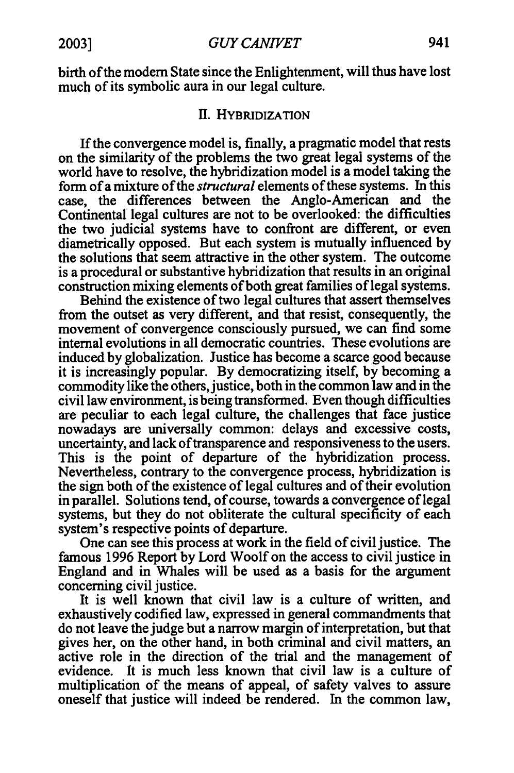birth of the modem State since the Enlightenment, will thus have lost much of its symbolic aura in our legal culture.

#### **II.** HYBRIDIZATION

If the convergence model is, finally, a pragmatic model that rests on the similarity of the problems the two great legal systems of the world have to resolve, the hybridization model is a model taking the form of a mixture of the *structural* elements of these systems. In this case, the differences between the Anglo-American and the Continental legal cultures are not to be overlooked: the difficulties the two judicial systems have to confront are different, or even diametrically opposed. But each system is mutually influenced **by**  the solutions that seem attractive in the other system. The outcome is a procedural or substantive hybridization that results in an original construction mixing elements of both great families of legal systems.

Behind the existence of two legal cultures that assert themselves from the outset as very different, and that resist, consequently, the movement of convergence consciously pursued, we can find some internal evolutions in all democratic countries. These evolutions are induced by globalization. Justice has become a scarce good because it is increasingly popular. By democratizing itself, by becoming a commodity like the others, justice, both in the common law and in the civil law environment, is being transformed. Even though difficulties are peculiar to each legal culture, the challenges that face justice nowadays are universally common: delays and excessive costs, uncertainty, and lack oftransparence and responsiveness to the users. This is the point of departure of the hybridization process. Nevertheless, contrary to the convergence process, hybridization is the sign both of the existence of legal cultures and of their evolution in parallel. Solutions tend, of course, towards a convergence of legal systems, but they do not obliterate the cultural specificity of each system's respective points of departure.

One can see this process at work in the field of civil justice. The famous 1996 Report by Lord Woolf on the access to civil justice in England and in Whales will be used as a basis for the argument concerning civil justice.

It is well known that civil law is a culture of written, and exhaustively codified law, expressed in general commandments that do not leave the judge but a narrow margin of interpretation, but that gives her, on the other hand, in both criminal and civil matters, an active role in the direction of the trial and the management of evidence. It is much less known that civil law is a culture of multiplication of the means of appeal, of safety valves to assure oneself that justice will indeed be rendered. In the common law,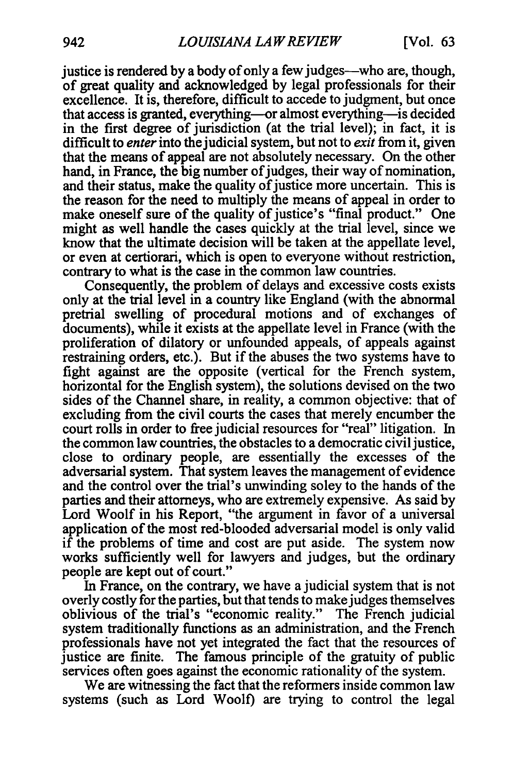justice is rendered by a body of only a few judges—who are, though, of great quality and acknowledged by legal professionals for their excellence. It is, therefore, difficult to accede to judgment, but once that access is granted, everything-or almost everything-is decided in the first degree of jurisdiction (at the trial level); in fact, it is difficult to *enter*into the judicial system, but not to *exit* from it, given that the means of appeal are not absolutely necessary. On the other hand, in France, the big number of judges, their way of nomination, and their status, make the quality of justice more uncertain. This is the reason for the need to multiply the means of appeal in order to make oneself sure of the quality of justice's "final product." One might as well handle the cases quickly at the trial level, since we know that the ultimate decision will be taken at the appellate level, or even at certiorari, which is open to everyone without restriction, contrary to what is the case in the common law countries.

Consequently, the problem of delays and excessive costs exists only at the trial level in a country like England (with the abnormal pretrial swelling of procedural motions and of exchanges of documents), while it exists at the appellate level in France (with the proliferation of dilatory or unfounded appeals, of appeals against restraining orders, etc.). But if the abuses the two systems have to fight against are the opposite (vertical for the French system, horizontal for the English system), the solutions devised on the two sides of the Channel share, in reality, a common objective: that of excluding from the civil courts the cases that merely encumber the court rolls in order to free judicial resources for "real" litigation. In the common law countries, the obstacles to a democratic civil justice, close to ordinary people, are essentially the excesses of the adversarial system. That system leaves the management of evidence and the control over the trial's unwinding soley to the hands of the parties and their attorneys, who are extremely expensive. As said by Lord Woolf in his Report, "the argument in favor of a universal application of the most red-blooded adversarial model is only valid if the problems of time and cost are put aside. The system now works sufficiently well for lawyers and judges, but the ordinary people are kept out of court."

In France, on the contrary, we have a judicial system that is not overly costly for the parties, but that tends to make judges themselves oblivious of the trial's "economic reality." The French judicial system traditionally functions as an administration, and the French professionals have not yet integrated the fact that the resources of justice are finite. The famous principle of the gratuity of public services often goes against the economic rationality of the system.

We are witnessing the fact that the reformers inside common law systems (such as Lord Woolf) are trying to control the legal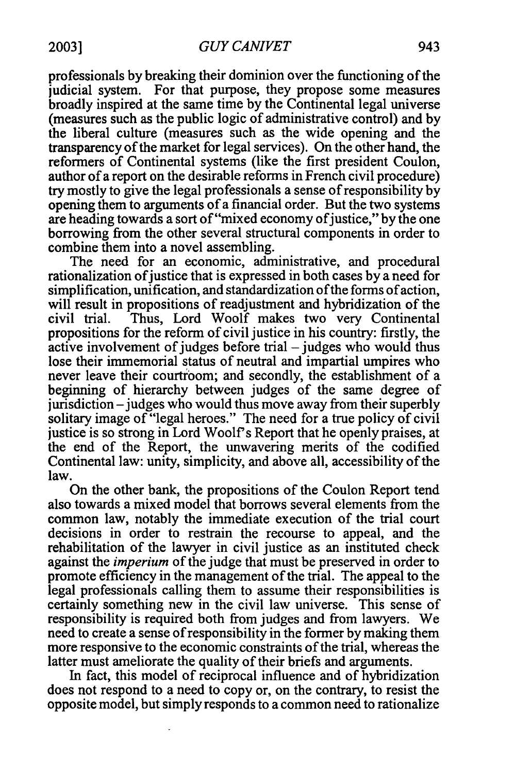professionals **by** breaking their dominion over the functioning ofthe judicial system. For that purpose, they propose some measures broadly inspired at the same time **by** the Continental legal universe (measures such as the public logic of administrative control) and **by**  the liberal culture (measures such as the wide opening and the transparency of the market for legal services). On the other hand, the reformers of Continental systems (like the first president Coulon, author of a report on the desirable reforms in French civil procedure) try mostly to give the legal professionals a sense of responsibility by opening them to arguments of a financial order. But the two systems are heading towards a sort of "mixed economy of justice," by the one borrowing from the other several structural components in order to combine them into a novel assembling.

The need for an economic, administrative, and procedural rationalization of justice that is expressed in both cases by a need for simplification, unification, and standardization of the forms of action, will result in propositions of readjustment and hybridization of the civil trial. Thus, Lord Woolf makes two very Continental propositions for the reform of civil justice in his country: firstly, the active involvement of judges before trial  $-$  judges who would thus lose their immemorial status of neutral and impartial umpires who never leave their courtroom; and secondly, the establishment of a beginning of hierarchy between judges of the same degree of jurisdiction – judges who would thus move away from their superbly solitary image of "legal heroes." The need for a true policy of civil justice is so strong in Lord Woolf's Report that he openly praises, at the end of the Report, the unwavering merits of the codified Continental law: unity, simplicity, and above all, accessibility of the law.

On the other bank, the propositions of the Coulon Report tend also towards a mixed model that borrows several elements from the common law, notably the immediate execution of the trial court decisions in order to restrain the recourse to appeal, and the rehabilitation of the lawyer in civil justice as an instituted check against the *imperium* of the judge that must be preserved in order to promote efficiency in the management of the trial. The appeal to the legal professionals calling them to assume their responsibilities is certainly something new in the civil law universe. This sense of responsibility is required both from judges and from lawyers. We need to create a sense ofresponsibility in the former by making them more responsive to the economic constraints of the trial, whereas the latter must ameliorate the quality of their briefs and arguments.

In fact, this model of reciprocal influence and of hybridization does not respond to a need to copy or, on the contrary, to resist the opposite model, but simply responds to a common need to rationalize